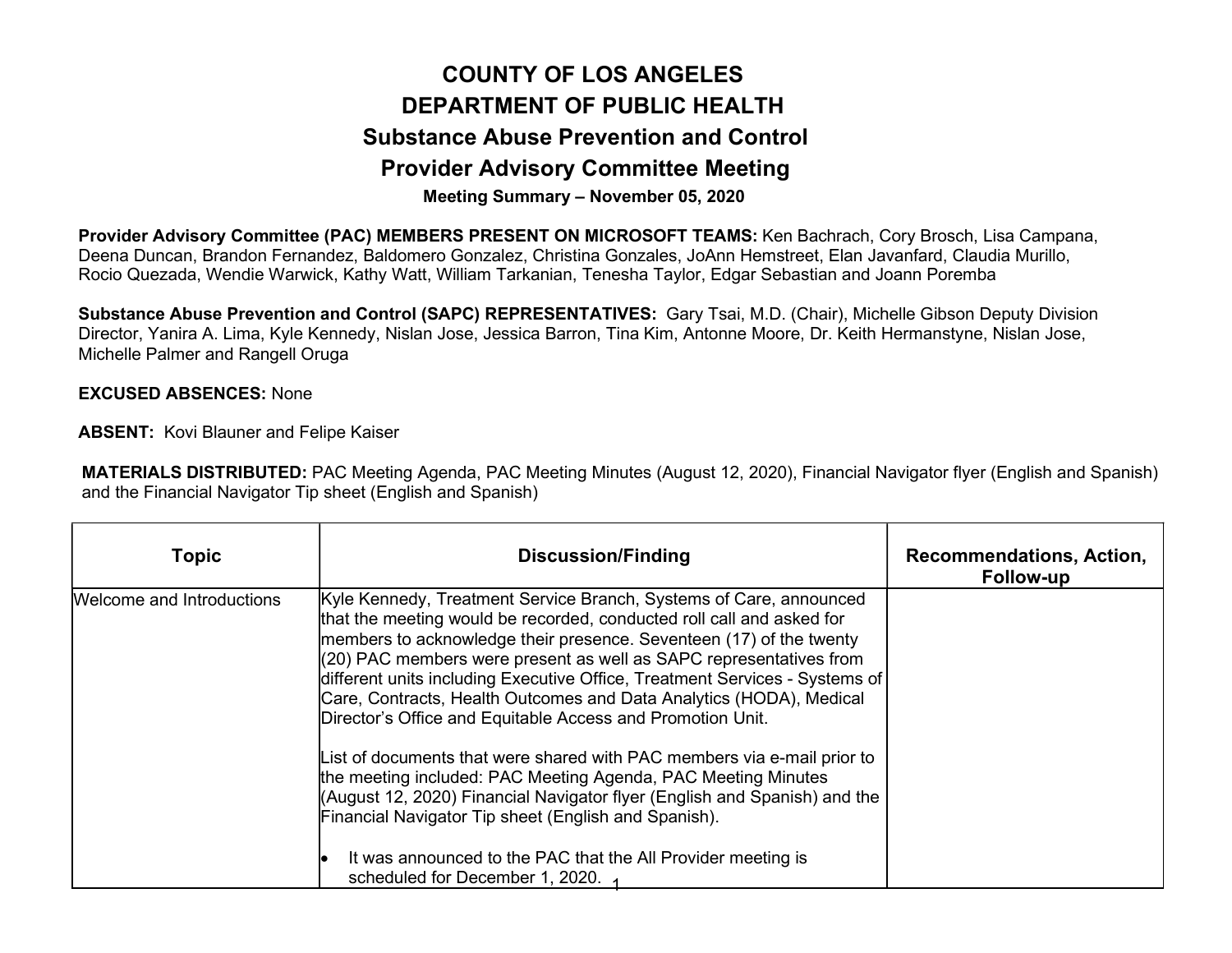## COUNTY OF LOS ANGELES DEPARTMENT OF PUBLIC HEALTH Substance Abuse Prevention and Control Provider Advisory Committee Meeting Meeting Summary – November 05, 2020

Provider Advisory Committee (PAC) MEMBERS PRESENT ON MICROSOFT TEAMS: Ken Bachrach, Cory Brosch, Lisa Campana, Deena Duncan, Brandon Fernandez, Baldomero Gonzalez, Christina Gonzales, JoAnn Hemstreet, Elan Javanfard, Claudia Murillo, Rocio Quezada, Wendie Warwick, Kathy Watt, William Tarkanian, Tenesha Taylor, Edgar Sebastian and Joann Poremba

Substance Abuse Prevention and Control (SAPC) REPRESENTATIVES: Gary Tsai, M.D. (Chair), Michelle Gibson Deputy Division Director, Yanira A. Lima, Kyle Kennedy, Nislan Jose, Jessica Barron, Tina Kim, Antonne Moore, Dr. Keith Hermanstyne, Nislan Jose, Michelle Palmer and Rangell Oruga

## EXCUSED ABSENCES: None

ABSENT: Kovi Blauner and Felipe Kaiser

MATERIALS DISTRIBUTED: PAC Meeting Agenda, PAC Meeting Minutes (August 12, 2020), Financial Navigator flyer (English and Spanish) and the Financial Navigator Tip sheet (English and Spanish)

| <b>Topic</b>              | <b>Discussion/Finding</b>                                                                                                                                                                                                                                                                                                                                                                                                                                                                                                                                                                                                                                                                                                                                                                                                                                                                          | Recommendations, Action,<br>Follow-up |
|---------------------------|----------------------------------------------------------------------------------------------------------------------------------------------------------------------------------------------------------------------------------------------------------------------------------------------------------------------------------------------------------------------------------------------------------------------------------------------------------------------------------------------------------------------------------------------------------------------------------------------------------------------------------------------------------------------------------------------------------------------------------------------------------------------------------------------------------------------------------------------------------------------------------------------------|---------------------------------------|
| Welcome and Introductions | Kyle Kennedy, Treatment Service Branch, Systems of Care, announced<br>that the meeting would be recorded, conducted roll call and asked for<br>members to acknowledge their presence. Seventeen (17) of the twenty<br>$(20)$ PAC members were present as well as SAPC representatives from<br>different units including Executive Office, Treatment Services - Systems of<br>Care, Contracts, Health Outcomes and Data Analytics (HODA), Medical<br>Director's Office and Equitable Access and Promotion Unit.<br>List of documents that were shared with PAC members via e-mail prior to<br>the meeting included: PAC Meeting Agenda, PAC Meeting Minutes<br>(August 12, 2020) Financial Navigator flyer (English and Spanish) and the<br>Financial Navigator Tip sheet (English and Spanish).<br>It was announced to the PAC that the All Provider meeting is<br>scheduled for December 1, 2020. |                                       |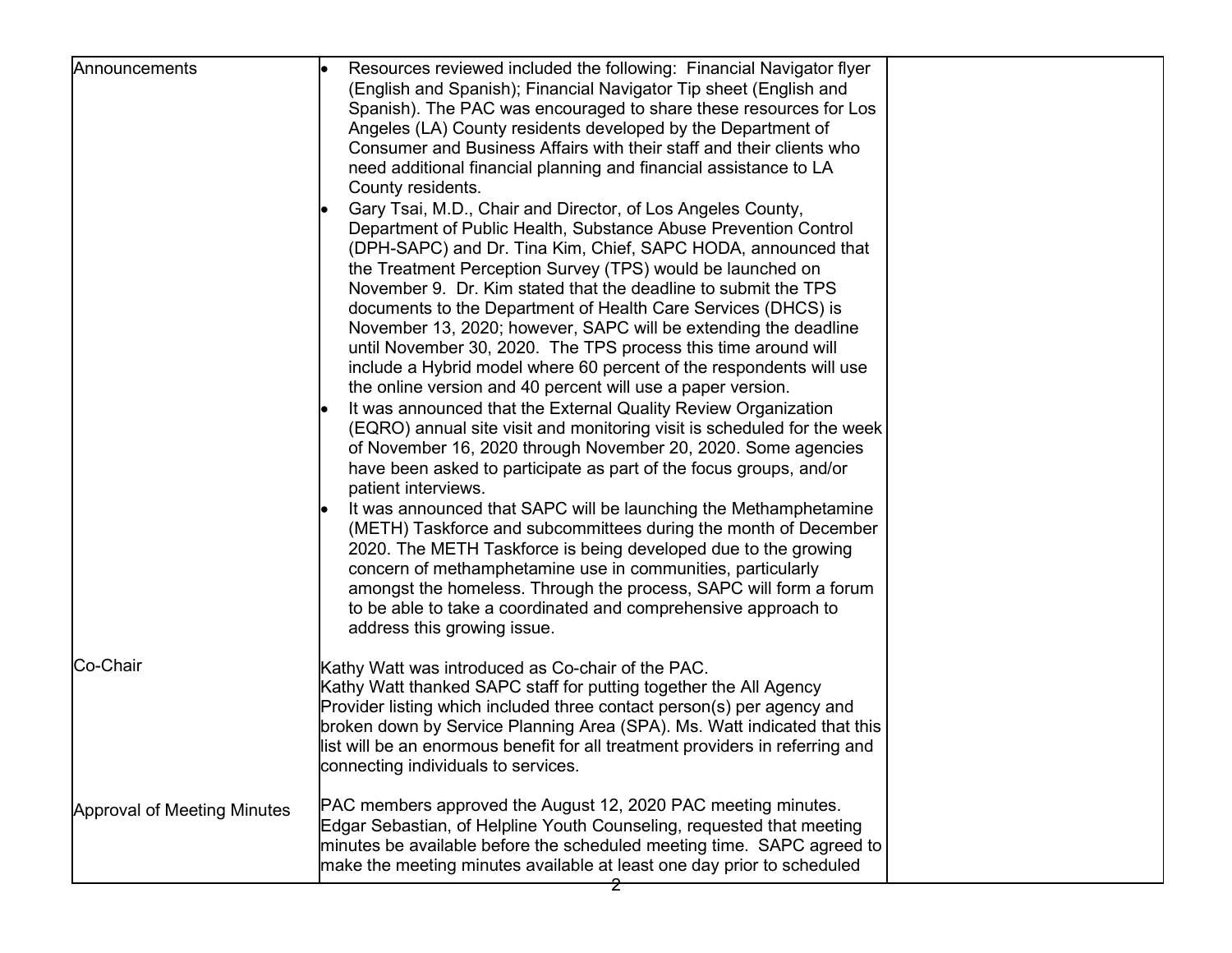| Announcements               | Resources reviewed included the following: Financial Navigator flyer<br>(English and Spanish); Financial Navigator Tip sheet (English and<br>Spanish). The PAC was encouraged to share these resources for Los<br>Angeles (LA) County residents developed by the Department of<br>Consumer and Business Affairs with their staff and their clients who<br>need additional financial planning and financial assistance to LA<br>County residents.<br>Gary Tsai, M.D., Chair and Director, of Los Angeles County,<br>Department of Public Health, Substance Abuse Prevention Control<br>(DPH-SAPC) and Dr. Tina Kim, Chief, SAPC HODA, announced that<br>the Treatment Perception Survey (TPS) would be launched on<br>November 9. Dr. Kim stated that the deadline to submit the TPS<br>documents to the Department of Health Care Services (DHCS) is<br>November 13, 2020; however, SAPC will be extending the deadline<br>until November 30, 2020. The TPS process this time around will<br>include a Hybrid model where 60 percent of the respondents will use<br>the online version and 40 percent will use a paper version.<br>It was announced that the External Quality Review Organization<br>(EQRO) annual site visit and monitoring visit is scheduled for the week<br>of November 16, 2020 through November 20, 2020. Some agencies<br>have been asked to participate as part of the focus groups, and/or<br>patient interviews.<br>It was announced that SAPC will be launching the Methamphetamine<br>(METH) Taskforce and subcommittees during the month of December<br>2020. The METH Taskforce is being developed due to the growing<br>concern of methamphetamine use in communities, particularly<br>amongst the homeless. Through the process, SAPC will form a forum<br>to be able to take a coordinated and comprehensive approach to<br>address this growing issue. |  |
|-----------------------------|------------------------------------------------------------------------------------------------------------------------------------------------------------------------------------------------------------------------------------------------------------------------------------------------------------------------------------------------------------------------------------------------------------------------------------------------------------------------------------------------------------------------------------------------------------------------------------------------------------------------------------------------------------------------------------------------------------------------------------------------------------------------------------------------------------------------------------------------------------------------------------------------------------------------------------------------------------------------------------------------------------------------------------------------------------------------------------------------------------------------------------------------------------------------------------------------------------------------------------------------------------------------------------------------------------------------------------------------------------------------------------------------------------------------------------------------------------------------------------------------------------------------------------------------------------------------------------------------------------------------------------------------------------------------------------------------------------------------------------------------------------------------------------------------------------------------------------------------------------------------------------------|--|
| Co-Chair                    | Kathy Watt was introduced as Co-chair of the PAC.<br>Kathy Watt thanked SAPC staff for putting together the All Agency<br>Provider listing which included three contact person(s) per agency and<br>broken down by Service Planning Area (SPA). Ms. Watt indicated that this<br>list will be an enormous benefit for all treatment providers in referring and<br>connecting individuals to services.                                                                                                                                                                                                                                                                                                                                                                                                                                                                                                                                                                                                                                                                                                                                                                                                                                                                                                                                                                                                                                                                                                                                                                                                                                                                                                                                                                                                                                                                                     |  |
| Approval of Meeting Minutes | PAC members approved the August 12, 2020 PAC meeting minutes.<br>Edgar Sebastian, of Helpline Youth Counseling, requested that meeting<br>minutes be available before the scheduled meeting time. SAPC agreed to<br>make the meeting minutes available at least one day prior to scheduled                                                                                                                                                                                                                                                                                                                                                                                                                                                                                                                                                                                                                                                                                                                                                                                                                                                                                                                                                                                                                                                                                                                                                                                                                                                                                                                                                                                                                                                                                                                                                                                               |  |
|                             |                                                                                                                                                                                                                                                                                                                                                                                                                                                                                                                                                                                                                                                                                                                                                                                                                                                                                                                                                                                                                                                                                                                                                                                                                                                                                                                                                                                                                                                                                                                                                                                                                                                                                                                                                                                                                                                                                          |  |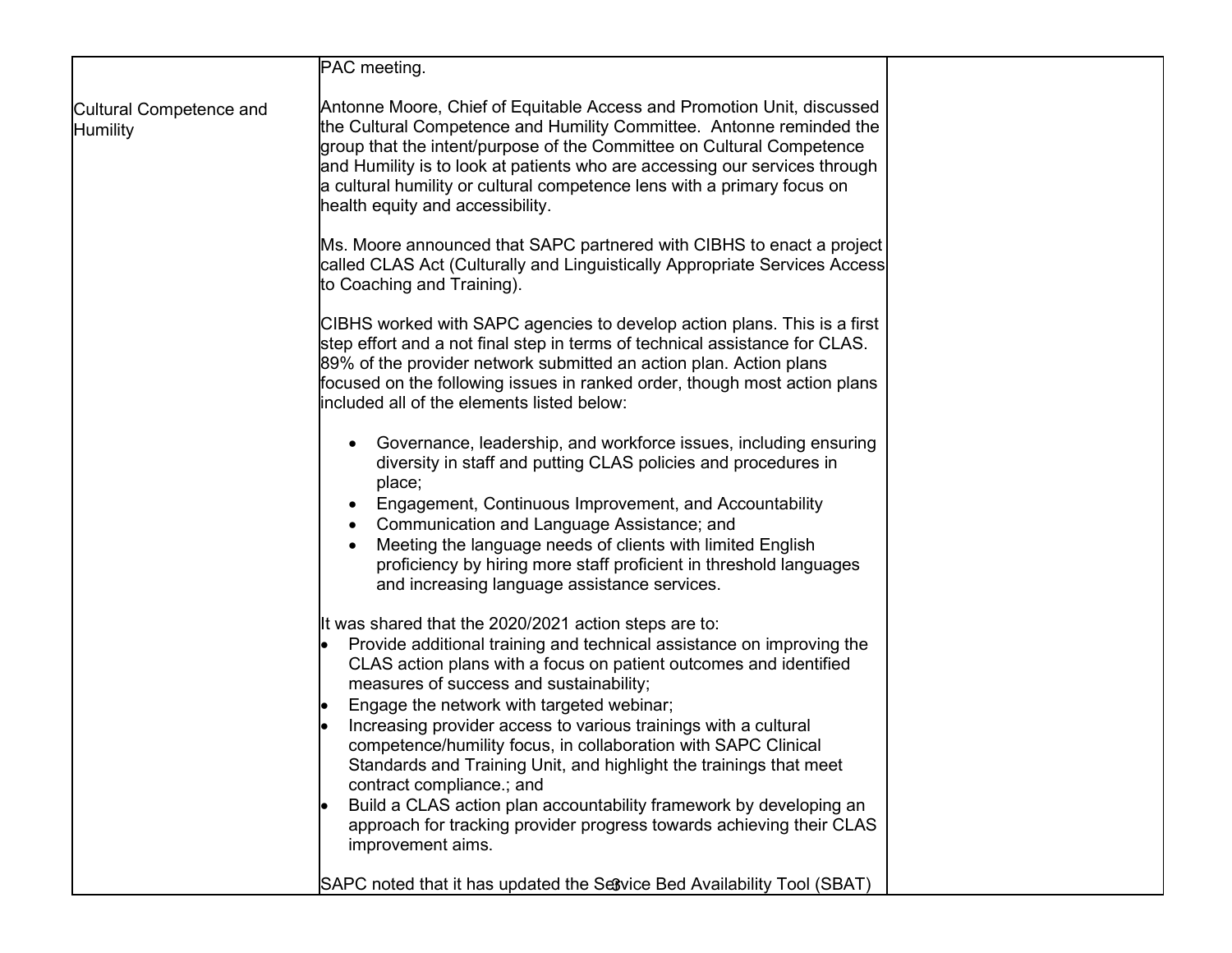|                                            | PAC meeting.                                                                                                                                                                                                                                                                                                                                                                                                                                                                                                                                                                                                                                                                                             |  |
|--------------------------------------------|----------------------------------------------------------------------------------------------------------------------------------------------------------------------------------------------------------------------------------------------------------------------------------------------------------------------------------------------------------------------------------------------------------------------------------------------------------------------------------------------------------------------------------------------------------------------------------------------------------------------------------------------------------------------------------------------------------|--|
| Cultural Competence and<br><b>Humility</b> | Antonne Moore, Chief of Equitable Access and Promotion Unit, discussed<br>the Cultural Competence and Humility Committee. Antonne reminded the<br>group that the intent/purpose of the Committee on Cultural Competence<br>and Humility is to look at patients who are accessing our services through<br>a cultural humility or cultural competence lens with a primary focus on<br>health equity and accessibility.                                                                                                                                                                                                                                                                                     |  |
|                                            | Ms. Moore announced that SAPC partnered with CIBHS to enact a project<br>called CLAS Act (Culturally and Linguistically Appropriate Services Access<br>to Coaching and Training).                                                                                                                                                                                                                                                                                                                                                                                                                                                                                                                        |  |
|                                            | CIBHS worked with SAPC agencies to develop action plans. This is a first<br>step effort and a not final step in terms of technical assistance for CLAS.<br>89% of the provider network submitted an action plan. Action plans<br>focused on the following issues in ranked order, though most action plans<br>included all of the elements listed below:                                                                                                                                                                                                                                                                                                                                                 |  |
|                                            | Governance, leadership, and workforce issues, including ensuring<br>diversity in staff and putting CLAS policies and procedures in<br>place;<br>Engagement, Continuous Improvement, and Accountability<br>Communication and Language Assistance; and<br>Meeting the language needs of clients with limited English<br>proficiency by hiring more staff proficient in threshold languages<br>and increasing language assistance services.                                                                                                                                                                                                                                                                 |  |
|                                            | It was shared that the $2020/2021$ action steps are to:<br>Provide additional training and technical assistance on improving the<br>CLAS action plans with a focus on patient outcomes and identified<br>measures of success and sustainability;<br>Engage the network with targeted webinar;<br>Increasing provider access to various trainings with a cultural<br>competence/humility focus, in collaboration with SAPC Clinical<br>Standards and Training Unit, and highlight the trainings that meet<br>contract compliance.; and<br>Build a CLAS action plan accountability framework by developing an<br>approach for tracking provider progress towards achieving their CLAS<br>improvement aims. |  |
|                                            | SAPC noted that it has updated the Setvice Bed Availability Tool (SBAT)                                                                                                                                                                                                                                                                                                                                                                                                                                                                                                                                                                                                                                  |  |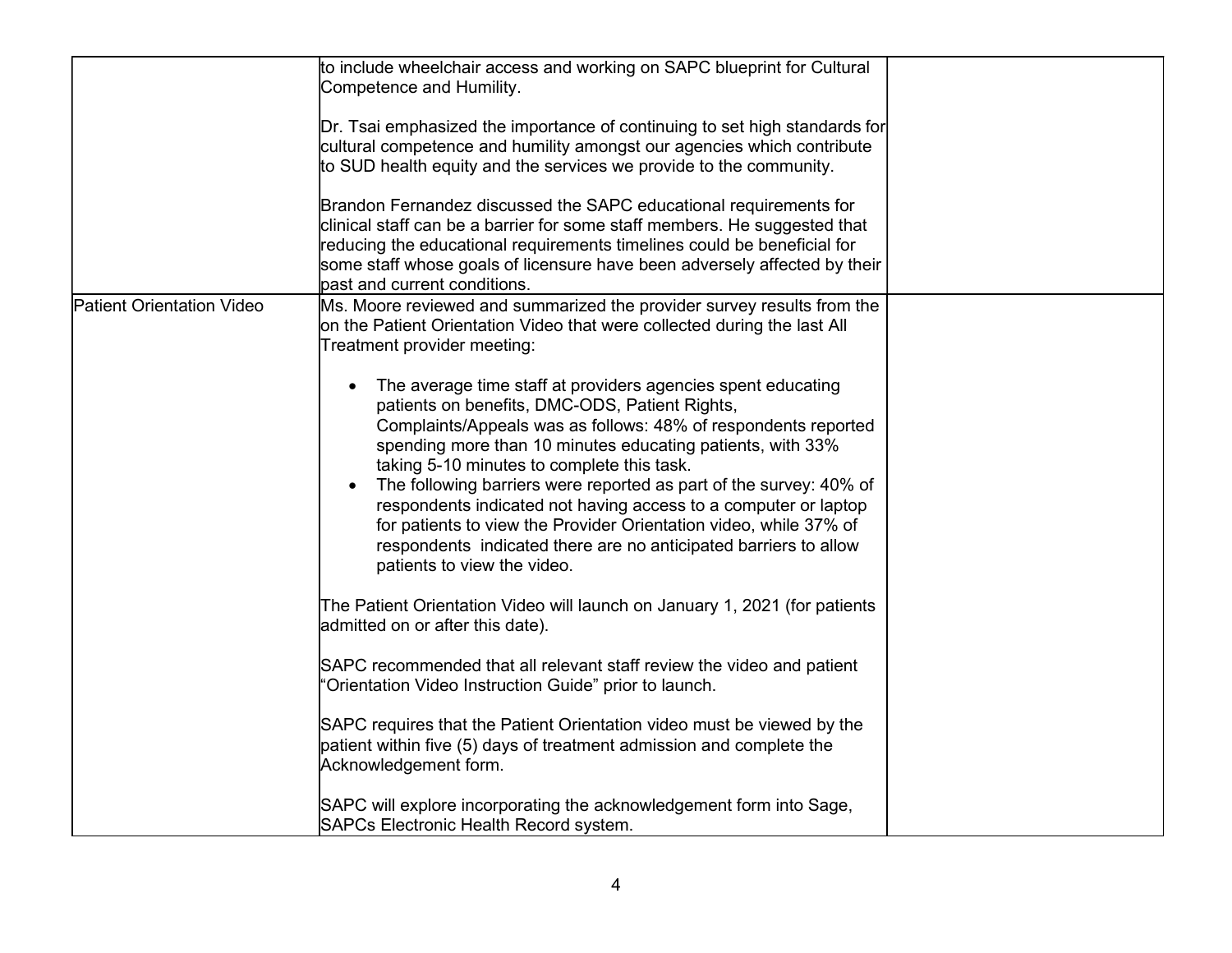|                                  | to include wheelchair access and working on SAPC blueprint for Cultural<br>Competence and Humility.                                                                                                                                                                                                                                                                                                                                                                                                                                                                                                                        |  |
|----------------------------------|----------------------------------------------------------------------------------------------------------------------------------------------------------------------------------------------------------------------------------------------------------------------------------------------------------------------------------------------------------------------------------------------------------------------------------------------------------------------------------------------------------------------------------------------------------------------------------------------------------------------------|--|
|                                  | Dr. Tsai emphasized the importance of continuing to set high standards for<br>cultural competence and humility amongst our agencies which contribute<br>to SUD health equity and the services we provide to the community.                                                                                                                                                                                                                                                                                                                                                                                                 |  |
|                                  | Brandon Fernandez discussed the SAPC educational requirements for<br>clinical staff can be a barrier for some staff members. He suggested that<br>reducing the educational requirements timelines could be beneficial for<br>some staff whose goals of licensure have been adversely affected by their<br>past and current conditions.                                                                                                                                                                                                                                                                                     |  |
| <b>Patient Orientation Video</b> | Ms. Moore reviewed and summarized the provider survey results from the<br>on the Patient Orientation Video that were collected during the last All<br>Treatment provider meeting:                                                                                                                                                                                                                                                                                                                                                                                                                                          |  |
|                                  | The average time staff at providers agencies spent educating<br>patients on benefits, DMC-ODS, Patient Rights,<br>Complaints/Appeals was as follows: 48% of respondents reported<br>spending more than 10 minutes educating patients, with 33%<br>taking 5-10 minutes to complete this task.<br>The following barriers were reported as part of the survey: 40% of<br>$\bullet$<br>respondents indicated not having access to a computer or laptop<br>for patients to view the Provider Orientation video, while 37% of<br>respondents indicated there are no anticipated barriers to allow<br>patients to view the video. |  |
|                                  | The Patient Orientation Video will launch on January 1, 2021 (for patients<br>admitted on or after this date).                                                                                                                                                                                                                                                                                                                                                                                                                                                                                                             |  |
|                                  | SAPC recommended that all relevant staff review the video and patient<br>'Orientation Video Instruction Guide" prior to launch.                                                                                                                                                                                                                                                                                                                                                                                                                                                                                            |  |
|                                  | SAPC requires that the Patient Orientation video must be viewed by the<br>patient within five (5) days of treatment admission and complete the<br>Acknowledgement form.                                                                                                                                                                                                                                                                                                                                                                                                                                                    |  |
|                                  | SAPC will explore incorporating the acknowledgement form into Sage,<br><b>SAPCs Electronic Health Record system.</b>                                                                                                                                                                                                                                                                                                                                                                                                                                                                                                       |  |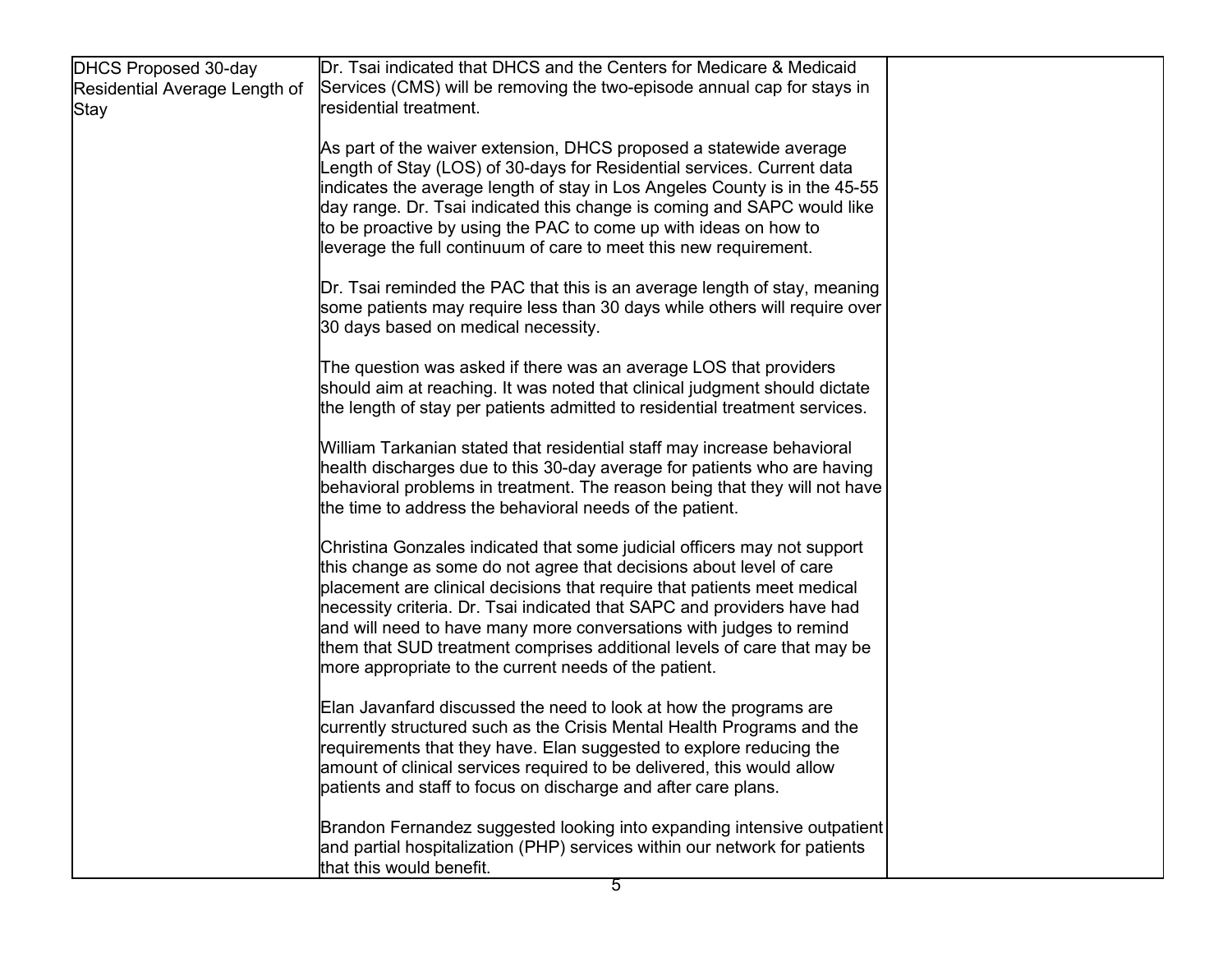| DHCS Proposed 30-day          | Dr. Tsai indicated that DHCS and the Centers for Medicare & Medicaid        |  |
|-------------------------------|-----------------------------------------------------------------------------|--|
| Residential Average Length of | Services (CMS) will be removing the two-episode annual cap for stays in     |  |
| Stay                          | residential treatment.                                                      |  |
|                               |                                                                             |  |
|                               | As part of the waiver extension, DHCS proposed a statewide average          |  |
|                               | Length of Stay (LOS) of 30-days for Residential services. Current data      |  |
|                               | indicates the average length of stay in Los Angeles County is in the 45-55  |  |
|                               | day range. Dr. Tsai indicated this change is coming and SAPC would like     |  |
|                               | to be proactive by using the PAC to come up with ideas on how to            |  |
|                               | leverage the full continuum of care to meet this new requirement.           |  |
|                               |                                                                             |  |
|                               | Dr. Tsai reminded the PAC that this is an average length of stay, meaning   |  |
|                               | some patients may require less than 30 days while others will require over  |  |
|                               | 30 days based on medical necessity.                                         |  |
|                               |                                                                             |  |
|                               | The question was asked if there was an average LOS that providers           |  |
|                               | should aim at reaching. It was noted that clinical judgment should dictate  |  |
|                               | the length of stay per patients admitted to residential treatment services. |  |
|                               |                                                                             |  |
|                               | William Tarkanian stated that residential staff may increase behavioral     |  |
|                               | health discharges due to this 30-day average for patients who are having    |  |
|                               | behavioral problems in treatment. The reason being that they will not have  |  |
|                               | the time to address the behavioral needs of the patient.                    |  |
|                               |                                                                             |  |
|                               | Christina Gonzales indicated that some judicial officers may not support    |  |
|                               | this change as some do not agree that decisions about level of care         |  |
|                               | placement are clinical decisions that require that patients meet medical    |  |
|                               | necessity criteria. Dr. Tsai indicated that SAPC and providers have had     |  |
|                               | and will need to have many more conversations with judges to remind         |  |
|                               | them that SUD treatment comprises additional levels of care that may be     |  |
|                               | more appropriate to the current needs of the patient.                       |  |
|                               |                                                                             |  |
|                               | Elan Javanfard discussed the need to look at how the programs are           |  |
|                               | currently structured such as the Crisis Mental Health Programs and the      |  |
|                               | requirements that they have. Elan suggested to explore reducing the         |  |
|                               | amount of clinical services required to be delivered, this would allow      |  |
|                               | patients and staff to focus on discharge and after care plans.              |  |
|                               |                                                                             |  |
|                               | Brandon Fernandez suggested looking into expanding intensive outpatient     |  |
|                               | and partial hospitalization (PHP) services within our network for patients  |  |
|                               | that this would benefit.<br>$5\overline{)}$                                 |  |